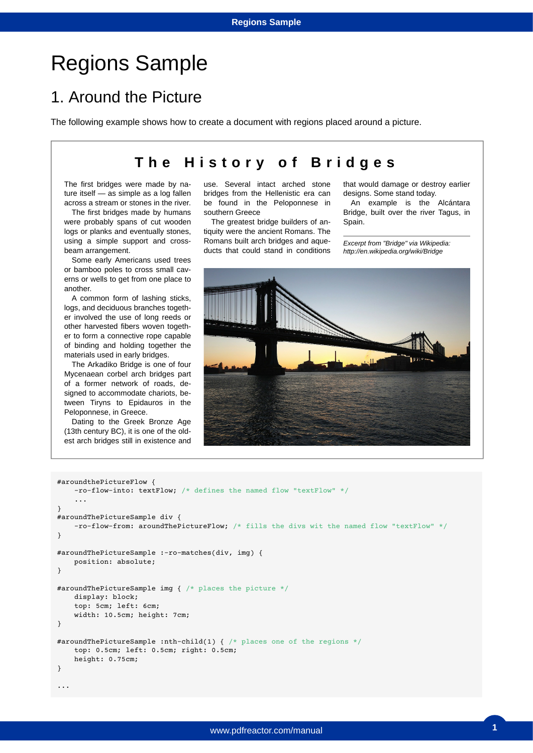## Regions Sample

## 1. Around the Picture

The following example shows how to create a document with regions placed around a picture.

## **The History of Bridges**

The first bridges were made by nature itself — as simple as a log fallen across a stream or stones in the river.

The first bridges made by humans were probably spans of cut wooden logs or planks and eventually stones, using a simple support and crossbeam arrangement.

Some early Americans used trees or bamboo poles to cross small caverns or wells to get from one place to another.

A common form of lashing sticks, logs, and deciduous branches together involved the use of long reeds or other harvested fibers woven together to form a connective rope capable of binding and holding together the materials used in early bridges.

The Arkadiko Bridge is one of four Mycenaean corbel arch bridges part of a former network of roads, designed to accommodate chariots, between Tiryns to Epidauros in the Peloponnese, in Greece.

Dating to the Greek Bronze Age (13th century BC), it is one of the oldest arch bridges still in existence and use. Several intact arched stone bridges from the Hellenistic era can be found in the Peloponnese in southern Greece

The greatest bridge builders of antiquity were the ancient Romans. The Romans built arch bridges and aqueducts that could stand in conditions that would damage or destroy earlier designs. Some stand today.

An example is the Alcántara Bridge, built over the river Tagus, in Spain.

*Excerpt from "Bridge" via Wikipedia: http://en.wikipedia.org/wiki/Bridge*



```
#aroundthePictureFlow {
    -ro-flow-into: textFlow; /* defines the named flow "textFlow" */
 ...
}
#aroundThePictureSample div {
    -ro-flow-from: aroundThePictureFlow; /* fills the divs wit the named flow "textFlow" */
}
#aroundThePictureSample :-ro-matches(div, img) {
    position: absolute;
}
#aroundThePictureSample img { /* places the picture */
     display: block;
    top: 5cm; left: 6cm;
    width: 10.5cm; height: 7cm;
}
#aroundThePictureSample :nth-child(1) { /* places one of the regions */
    top: 0.5cm; left: 0.5cm; right: 0.5cm; 
    height: 0.75cm;
}
...
```